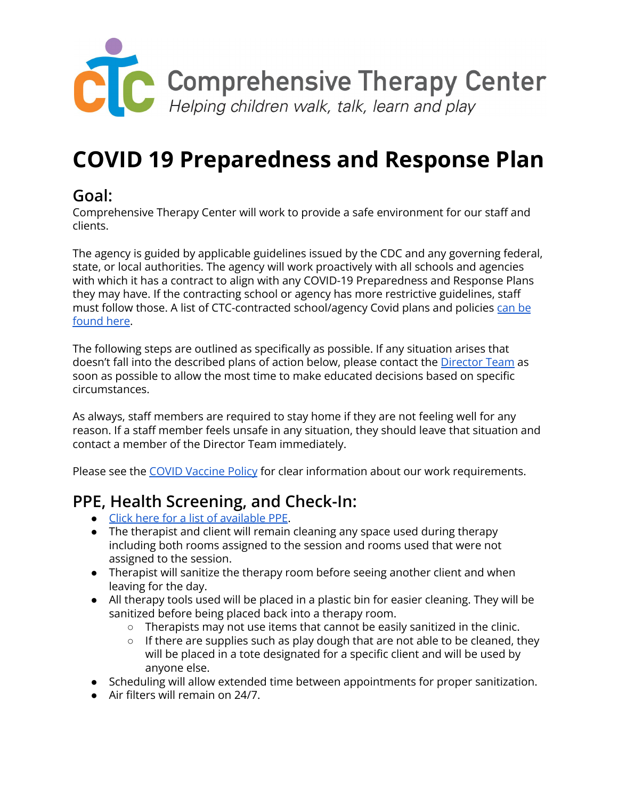

# **COVID 19 Preparedness and Response Plan**

#### **Goal:**

Comprehensive Therapy Center will work to provide a safe environment for our staff and clients.

The agency is guided by applicable guidelines issued by the CDC and any governing federal, state, or local authorities. The agency will work proactively with all schools and agencies with which it has a contract to align with any COVID-19 Preparedness and Response Plans they may have. If the contracting school or agency has more restrictive guidelines, staff must follow those. A list of CTC-contracted school/agency Covid plans and policies [can](https://docs.google.com/spreadsheets/d/1XfrijQe3kcHB1MP980fGb3HocLf9vtiU8TEpvasZmy4/edit#gid=0) be [found](https://docs.google.com/spreadsheets/d/1XfrijQe3kcHB1MP980fGb3HocLf9vtiU8TEpvasZmy4/edit#gid=0) here.

The following steps are outlined as specifically as possible. If any situation arises that doesn't fall into the described plans of action below, please contact the [Director](mailto:directors@therapycenter.org) Team as soon as possible to allow the most time to make educated decisions based on specific circumstances.

As always, staff members are required to stay home if they are not feeling well for any reason. If a staff member feels unsafe in any situation, they should leave that situation and contact a member of the Director Team immediately.

Please see the COVID [Vaccine](https://docs.google.com/document/d/1QSAImBmBCcrqSw3kcjeByyCG4x3hYH1hLMnwdc1gyUo/edit) Policy for clear information about our work requirements.

#### **PPE, Health Screening, and Check-In:**

- Click here for a list of [available](https://docs.google.com/document/d/16YzV4K5XcBFv-xnzTeR1Dz8__eV6uWKr0YX82A7-Whg/edit) PPE.
- The therapist and client will remain cleaning any space used during therapy including both rooms assigned to the session and rooms used that were not assigned to the session.
- Therapist will sanitize the therapy room before seeing another client and when leaving for the day.
- All therapy tools used will be placed in a plastic bin for easier cleaning. They will be sanitized before being placed back into a therapy room.
	- Therapists may not use items that cannot be easily sanitized in the clinic.
	- o If there are supplies such as play dough that are not able to be cleaned, they will be placed in a tote designated for a specific client and will be used by anyone else.
- Scheduling will allow extended time between appointments for proper sanitization.
- Air filters will remain on 24/7.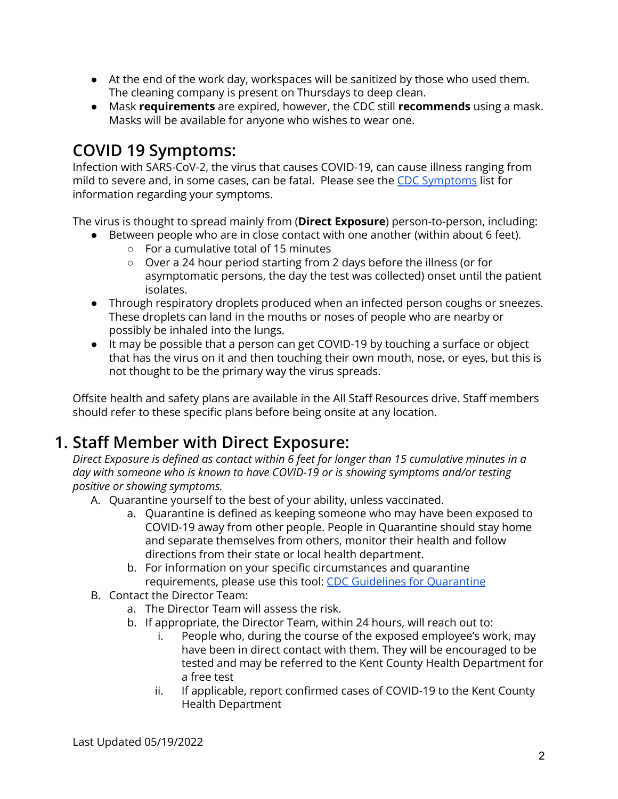- At the end of the work day, workspaces will be sanitized by those who used them. The cleaning company is present on Thursdays to deep clean.
- Mask **requirements** are expired, however, the CDC still **recommends** using a mask. Masks will be available for anyone who wishes to wear one.

# **COVID 19 Symptoms:**

Infection with SARS-CoV-2, the virus that causes COVID-19, can cause illness ranging from mild to severe and, in some cases, can be fatal. Please see the CDC [Symptoms](https://www.cdc.gov/coronavirus/2019-ncov/symptoms-testing/symptoms.html) list for information regarding your symptoms.

The virus is thought to spread mainly from (**Direct Exposure**) person-to-person, including:

- Between people who are in close contact with one another (within about 6 feet).
	- For a cumulative total of 15 minutes
	- Over a 24 hour period starting from 2 days before the illness (or for asymptomatic persons, the day the test was collected) onset until the patient isolates.
- Through respiratory droplets produced when an infected person coughs or sneezes. These droplets can land in the mouths or noses of people who are nearby or possibly be inhaled into the lungs.
- It may be possible that a person can get COVID-19 by touching a surface or object that has the virus on it and then touching their own mouth, nose, or eyes, but this is not thought to be the primary way the virus spreads.

Offsite health and safety plans are available in the All Staff Resources drive. Staff members should refer to these specific plans before being onsite at any location.

# **1. Staff Member with Direct Exposure:**

*Direct Exposure is defined as contact within 6 feet for longer than 15 cumulative minutes in a day with someone who is known to have COVID-19 or is showing symptoms and/or testing positive or showing symptoms.*

- A. Quarantine yourself to the best of your ability, unless vaccinated.
	- a. Quarantine is defined as keeping someone who may have been exposed to COVID-19 away from other people. People in Quarantine should stay home and separate themselves from others, monitor their health and follow directions from their state or local health department.
	- b. For information on your specific circumstances and quarantine requirements, please use this tool: CDC Guidelines for [Quarantine](https://www.cdc.gov/coronavirus/2019-ncov/if-you-are-sick/quarantine.html)
- B. Contact the Director Team:
	- a. The Director Team will assess the risk.
	- b. If appropriate, the Director Team, within 24 hours, will reach out to:
		- i. People who, during the course of the exposed employee's work, may have been in direct contact with them. They will be encouraged to be tested and may be referred to the Kent County Health Department for a free test
		- ii. If applicable, report confirmed cases of COVID-19 to the Kent County Health Department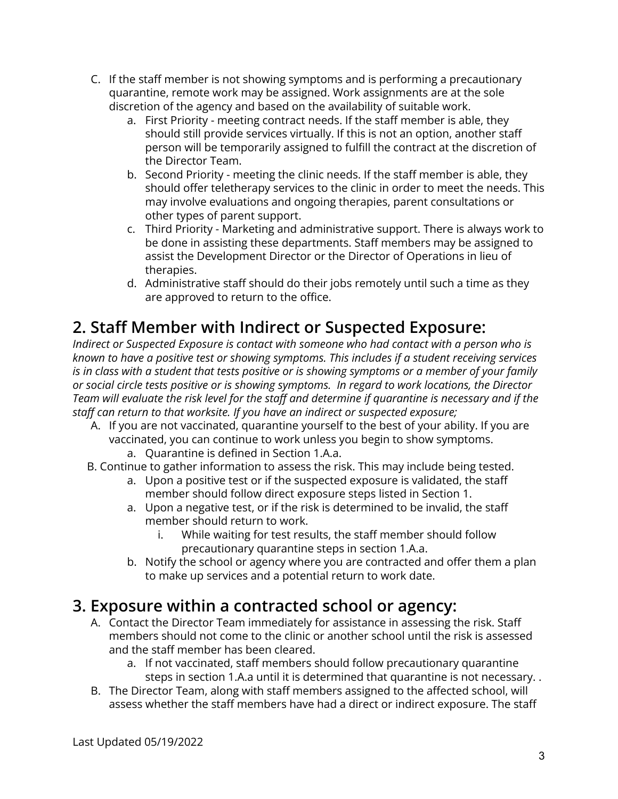- C. If the staff member is not showing symptoms and is performing a precautionary quarantine, remote work may be assigned. Work assignments are at the sole discretion of the agency and based on the availability of suitable work.
	- a. First Priority meeting contract needs. If the staff member is able, they should still provide services virtually. If this is not an option, another staff person will be temporarily assigned to fulfill the contract at the discretion of the Director Team.
	- b. Second Priority meeting the clinic needs. If the staff member is able, they should offer teletherapy services to the clinic in order to meet the needs. This may involve evaluations and ongoing therapies, parent consultations or other types of parent support.
	- c. Third Priority Marketing and administrative support. There is always work to be done in assisting these departments. Staff members may be assigned to assist the Development Director or the Director of Operations in lieu of therapies.
	- d. Administrative staff should do their jobs remotely until such a time as they are approved to return to the office.

## **2. Staff Member with Indirect or Suspected Exposure:**

*Indirect or Suspected Exposure is contact with someone who had contact with a person who is known to have a positive test or showing symptoms. This includes if a student receiving services* is in class with a student that tests positive or is showing symptoms or a member of your family *or social circle tests positive or is showing symptoms. In regard to work locations, the Director* Team will evaluate the risk level for the staff and determine if quarantine is necessary and if the *staff can return to that worksite. If you have an indirect or suspected exposure;*

- A. If you are not vaccinated, quarantine yourself to the best of your ability. If you are vaccinated, you can continue to work unless you begin to show symptoms.
	- a. Quarantine is defined in Section 1.A.a.
- B. Continue to gather information to assess the risk. This may include being tested.
	- a. Upon a positive test or if the suspected exposure is validated, the staff member should follow direct exposure steps listed in Section 1.
	- a. Upon a negative test, or if the risk is determined to be invalid, the staff member should return to work.
		- i. While waiting for test results, the staff member should follow precautionary quarantine steps in section 1.A.a.
	- b. Notify the school or agency where you are contracted and offer them a plan to make up services and a potential return to work date.

## **3. Exposure within a contracted school or agency:**

- A. Contact the Director Team immediately for assistance in assessing the risk. Staff members should not come to the clinic or another school until the risk is assessed and the staff member has been cleared.
	- a. If not vaccinated, staff members should follow precautionary quarantine steps in section 1.A.a until it is determined that quarantine is not necessary. .
- B. The Director Team, along with staff members assigned to the affected school, will assess whether the staff members have had a direct or indirect exposure. The staff